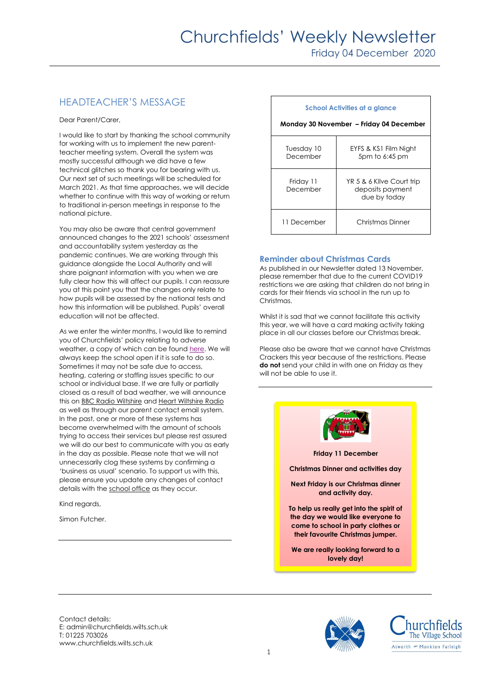# HEADTEACHER'S MESSAGE

Dear Parent/Carer,

I would like to start by thanking the school community for working with us to implement the new parentteacher meeting system. Overall the system was mostly successful although we did have a few technical glitches so thank you for bearing with us. Our next set of such meetings will be scheduled for March 2021. As that time approaches, we will decide whether to continue with this way of working or return to traditional in-person meetings in response to the national picture.

You may also be aware that central government announced changes to the 2021 schools' assessment and accountability system yesterday as the pandemic continues. We are working through this guidance alongside the Local Authority and will share poignant information with you when we are fully clear how this will affect our pupils. I can reassure you at this point you that the changes only relate to how pupils will be assessed by the national tests and how this information will be published. Pupils' overall education will not be affected.

As we enter the winter months, I would like to remind you of Churchfields' policy relating to adverse weather, a copy of which can be foun[d here.](https://churchfields.wilts.sch.uk/wp-content/uploads/2020/12/Snow-and-Ice-Policy-2020.pdf) We will always keep the school open if it is safe to do so. Sometimes it may not be safe due to access, heating, catering or staffing issues specific to our school or individual base. If we are fully or partially closed as a result of bad weather, we will announce this on **BBC Radio Wiltshire an[d Heart Wiltshire Radio](https://www.heart.co.uk/wiltshire/)** as well as through our parent contact email system. In the past, one or more of these systems has become overwhelmed with the amount of schools trying to access their services but please rest assured we will do our best to communicate with you as early in the day as possible. Please note that we will not unnecessarily clog these systems by confirming a 'business as usual' scenario. To support us with this, please ensure you update any changes of contact details with th[e school office](mailto:admin@churchfields.wilts.sch.uk) as they occur.

Kind regards,

Simon Futcher.

#### **School Activities at a glance Monday 30 November – Friday 04 December**  Tuesday 10 December EYFS & KS1 Film Night 5pm to 6:45 pm Friday 11 December YR 5 & 6 Kilve Court trip deposits payment due by today 11 December | Christmas Dinner

### **Reminder about Christmas Cards**

As published in our Newsletter dated 13 November, please remember that due to the current COVID19 restrictions we are asking that children do not bring in cards for their friends via school in the run up to Christmas.

Whilst it is sad that we cannot facilitate this activity this year, we will have a card making activity taking place in all our classes before our Christmas break.

Please also be aware that we cannot have Christmas Crackers this year because of the restrictions. Please **do not** send your child in with one on Friday as they will not be able to use it.



Contact details: E: admin@churchfields.wilts.sch.uk T: 01225 703026 www.churchfields.wilts.sch.uk



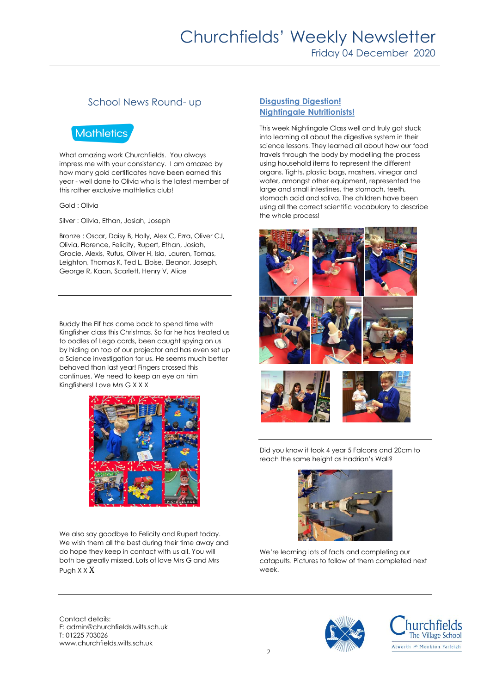# Churchfields' Weekly Newsletter

Friday 04 December 2020

## School News Round- up

# **Mathletics**

What amazing work Churchfields. You always impress me with your consistency. I am amazed by how many gold certificates have been earned this year - well done to Olivia who is the latest member of this rather exclusive mathletics club!

#### Gold : Olivia

Silver : Olivia, Ethan, Josiah, Joseph

Bronze : Oscar, Daisy B, Holly, Alex C, Ezra, Oliver CJ, Olivia, Florence, Felicity, Rupert, Ethan, Josiah, Gracie, Alexis, Rufus, Oliver H, Isla, Lauren, Tomas, Leighton, Thomas K, Ted L, Eloise, Eleanor, Joseph, George R, Kaan, Scarlett, Henry V, Alice

Buddy the Elf has come back to spend time with Kingfisher class this Christmas. So far he has treated us to oodles of Lego cards, been caught spying on us by hiding on top of our projector and has even set up a Science investigation for us. He seems much better behaved than last year! Fingers crossed this continues. We need to keep an eye on him Kingfishers! Love Mrs G X X X



We also say goodbye to Felicity and Rupert today. We wish them all the best during their time away and do hope they keep in contact with us all. You will both be greatly missed. Lots of love Mrs G and Mrs Pugh X X X

Contact details: E: admin@churchfields.wilts.sch.uk T: 01225 703026 www.churchfields.wilts.sch.uk

#### **Disgusting Digestion! Nightingale Nutritionists!**

This week Nightingale Class well and truly got stuck into learning all about the digestive system in their science lessons. They learned all about how our food travels through the body by modelling the process using household items to represent the different organs. Tights, plastic bags, mashers, vinegar and water, amongst other equipment, represented the large and small intestines, the stomach, teeth, stomach acid and saliva. The children have been using all the correct scientific vocabulary to describe the whole process!





Did you know it took 4 year 5 Falcons and 20cm to reach the same height as Hadrian's Wall?



We're learning lots of facts and completing our catapults. Pictures to follow of them completed next week.